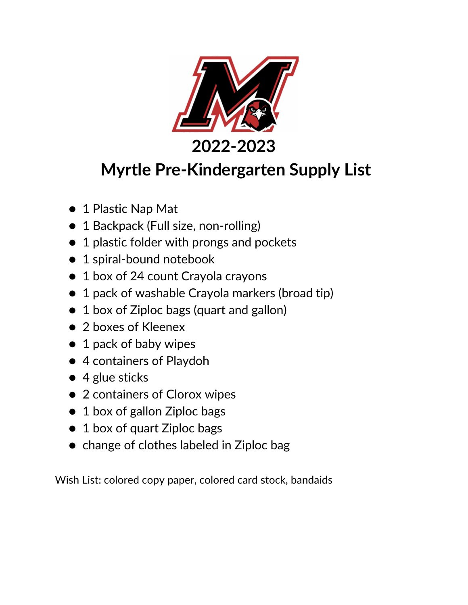

**2022-2023**

## **Myrtle Pre-Kindergarten Supply List**

- 1 Plastic Nap Mat
- 1 Backpack (Full size, non-rolling)
- 1 plastic folder with prongs and pockets
- 1 spiral-bound notebook
- 1 box of 24 count Crayola crayons
- 1 pack of washable Crayola markers (broad tip)
- 1 box of Ziploc bags (quart and gallon)
- 2 boxes of Kleenex
- 1 pack of baby wipes
- 4 containers of Playdoh
- $\bullet$  4 glue sticks
- 2 containers of Clorox wipes
- 1 box of gallon Ziploc bags
- 1 box of quart Ziploc bags
- change of clothes labeled in Ziploc bag

Wish List: colored copy paper, colored card stock, bandaids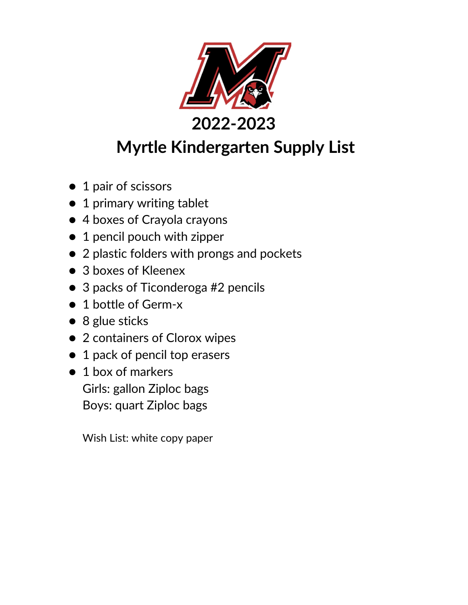

## **Myrtle Kindergarten Supply List**

- 1 pair of scissors
- 1 primary writing tablet
- 4 boxes of Crayola crayons
- 1 pencil pouch with zipper
- 2 plastic folders with prongs and pockets
- 3 boxes of Kleenex
- 3 packs of Ticonderoga #2 pencils
- 1 bottle of Germ-x
- 8 glue sticks
- 2 containers of Clorox wipes
- 1 pack of pencil top erasers
- 1 box of markers Girls: gallon Ziploc bags Boys: quart Ziploc bags

Wish List: white copy paper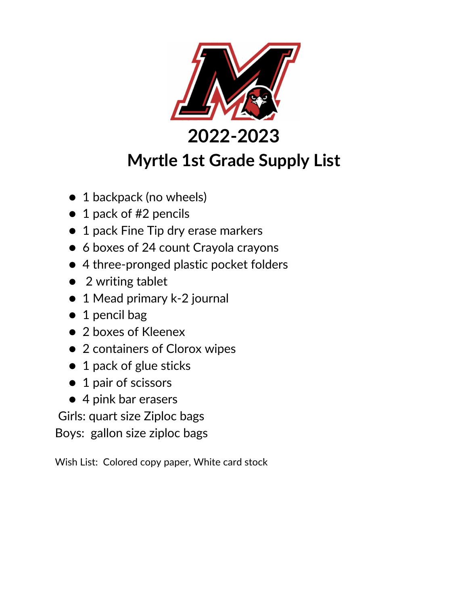

### **Myrtle 1st Grade Supply List**

- 1 backpack (no wheels)
- 1 pack of #2 pencils
- 1 pack Fine Tip dry erase markers
- 6 boxes of 24 count Crayola crayons
- 4 three-pronged plastic pocket folders
- 2 writing tablet
- 1 Mead primary k-2 journal
- 1 pencil bag
- 2 boxes of Kleenex
- 2 containers of Clorox wipes
- 1 pack of glue sticks
- 1 pair of scissors
- 4 pink bar erasers

Girls: quart size Ziploc bags

Boys: gallon size ziploc bags

Wish List: Colored copy paper, White card stock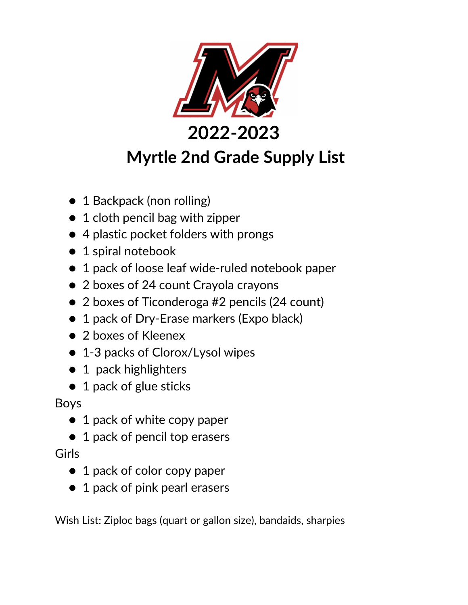

- 1 Backpack (non rolling)
- 1 cloth pencil bag with zipper
- 4 plastic pocket folders with prongs
- 1 spiral notebook
- 1 pack of loose leaf wide-ruled notebook paper
- 2 boxes of 24 count Crayola crayons
- 2 boxes of Ticonderoga #2 pencils (24 count)
- 1 pack of Dry-Erase markers (Expo black)
- 2 boxes of Kleenex
- 1-3 packs of Clorox/Lysol wipes
- 1 pack highlighters
- 1 pack of glue sticks

Boys

- 1 pack of white copy paper
- 1 pack of pencil top erasers

Girls

- 1 pack of color copy paper
- 1 pack of pink pearl erasers

Wish List: Ziploc bags (quart or gallon size), bandaids, sharpies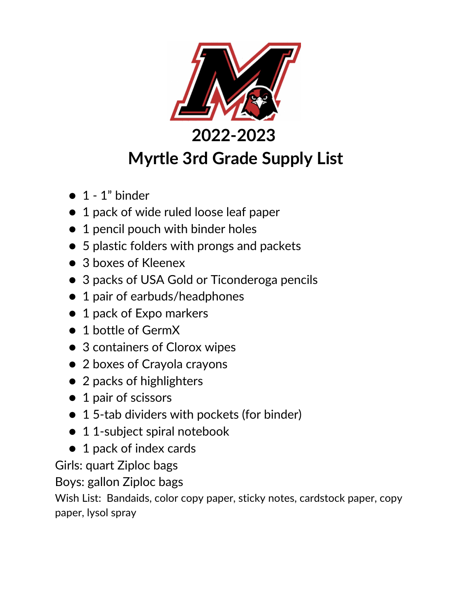

- $\bullet$  1 1" binder
- 1 pack of wide ruled loose leaf paper
- 1 pencil pouch with binder holes
- 5 plastic folders with prongs and packets
- 3 boxes of Kleenex
- 3 packs of USA Gold or Ticonderoga pencils
- 1 pair of earbuds/headphones
- 1 pack of Expo markers
- 1 bottle of GermX
- 3 containers of Clorox wipes
- 2 boxes of Crayola crayons
- 2 packs of highlighters
- 1 pair of scissors
- 15-tab dividers with pockets (for binder)
- 1 1-subject spiral notebook
- 1 pack of index cards

Girls: quart Ziploc bags

Boys: gallon Ziploc bags

Wish List: Bandaids, color copy paper, sticky notes, cardstock paper, copy paper, lysol spray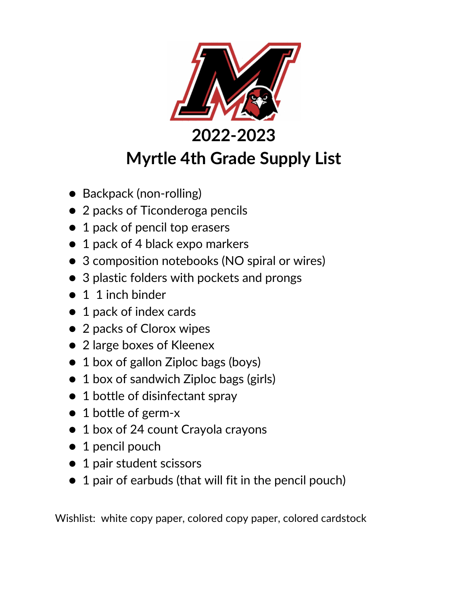

# **Myrtle 4th Grade Supply List**

- Backpack (non-rolling)
- 2 packs of Ticonderoga pencils
- 1 pack of pencil top erasers
- 1 pack of 4 black expo markers
- 3 composition notebooks (NO spiral or wires)
- 3 plastic folders with pockets and prongs
- 1 1 inch binder
- 1 pack of index cards
- 2 packs of Clorox wipes
- 2 large boxes of Kleenex
- 1 box of gallon Ziploc bags (boys)
- 1 box of sandwich Ziploc bags (girls)
- 1 bottle of disinfectant spray
- 1 bottle of germ-x
- 1 box of 24 count Crayola crayons
- 1 pencil pouch
- 1 pair student scissors
- 1 pair of earbuds (that will fit in the pencil pouch)

Wishlist: white copy paper, colored copy paper, colored cardstock